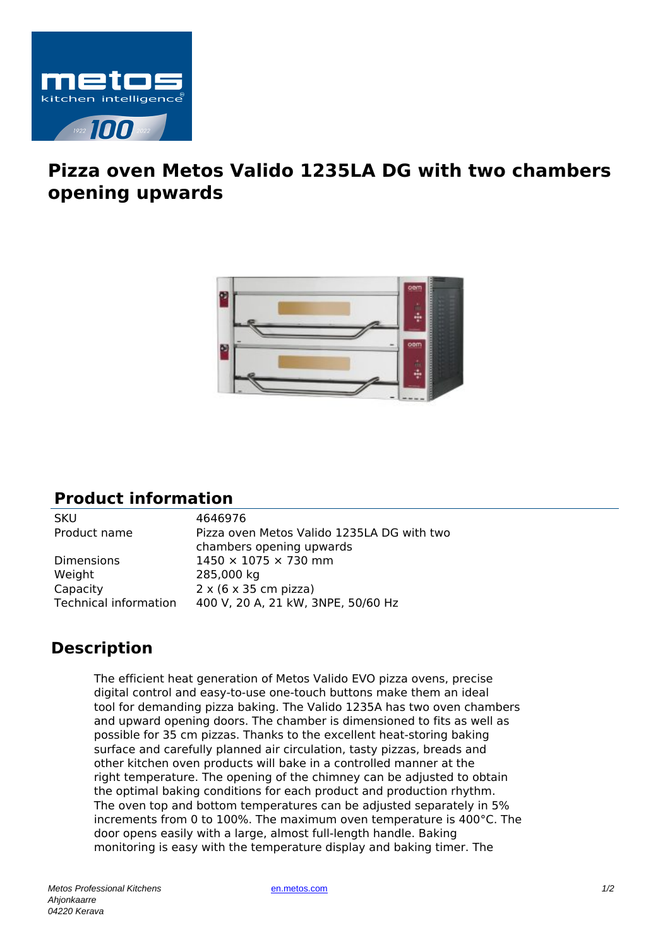

## **Pizza oven Metos Valido 1235LA DG with two chambers opening upwards**



## **Product information**

SKU 4646976 Product name Pizza oven Metos Valido 1235LA DG with two chambers opening upwards Dimensions  $1450 \times 1075 \times 730$  mm Weight 285,000 kg Capacity  $2 \times (6 \times 35 \text{ cm})$  pizza) Technical information 400 V, 20 A, 21 kW, 3NPE, 50/60 Hz

## **Description**

The efficient heat generation of Metos Valido EVO pizza ovens, precise digital control and easy-to-use one-touch buttons make them an ideal tool for demanding pizza baking. The Valido 1235A has two oven chambers and upward opening doors. The chamber is dimensioned to fits as well as possible for 35 cm pizzas. Thanks to the excellent heat-storing baking surface and carefully planned air circulation, tasty pizzas, breads and other kitchen oven products will bake in a controlled manner at the right temperature. The opening of the chimney can be adjusted to obtain the optimal baking conditions for each product and production rhythm. The oven top and bottom temperatures can be adjusted separately in 5% increments from 0 to 100%. The maximum oven temperature is 400°C. The door opens easily with a large, almost full-length handle. Baking monitoring is easy with the temperature display and baking timer. The